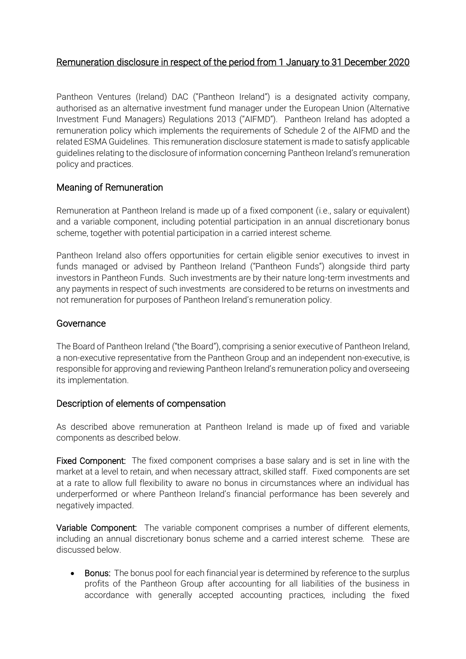# Remuneration disclosure in respect of the period from 1 January to 31 December 2020

Pantheon Ventures (Ireland) DAC ("Pantheon Ireland") is a designated activity company, authorised as an alternative investment fund manager under the European Union (Alternative Investment Fund Managers) Regulations 2013 ("AIFMD"). Pantheon Ireland has adopted a remuneration policy which implements the requirements of Schedule 2 of the AIFMD and the related ESMA Guidelines. This remuneration disclosure statement is made to satisfy applicable guidelines relating to the disclosure of information concerning Pantheon Ireland's remuneration policy and practices.

### Meaning of Remuneration

Remuneration at Pantheon Ireland is made up of a fixed component (i.e., salary or equivalent) and a variable component, including potential participation in an annual discretionary bonus scheme, together with potential participation in a carried interest scheme.

Pantheon Ireland also offers opportunities for certain eligible senior executives to invest in funds managed or advised by Pantheon Ireland ("Pantheon Funds") alongside third party investors in Pantheon Funds. Such investments are by their nature long-term investments and any payments in respect of such investments are considered to be returns on investments and not remuneration for purposes of Pantheon Ireland's remuneration policy.

### Governance

The Board of Pantheon Ireland ("the Board"), comprising a senior executive of Pantheon Ireland, a non-executive representative from the Pantheon Group and an independent non-executive, is responsible for approving and reviewing Pantheon Ireland's remuneration policy and overseeing its implementation.

### Description of elements of compensation

As described above remuneration at Pantheon Ireland is made up of fixed and variable components as described below.

Fixed Component: The fixed component comprises a base salary and is set in line with the market at a level to retain, and when necessary attract, skilled staff. Fixed components are set at a rate to allow full flexibility to aware no bonus in circumstances where an individual has underperformed or where Pantheon Ireland's financial performance has been severely and negatively impacted.

Variable Component: The variable component comprises a number of different elements, including an annual discretionary bonus scheme and a carried interest scheme. These are discussed below.

• Bonus: The bonus pool for each financial year is determined by reference to the surplus profits of the Pantheon Group after accounting for all liabilities of the business in accordance with generally accepted accounting practices, including the fixed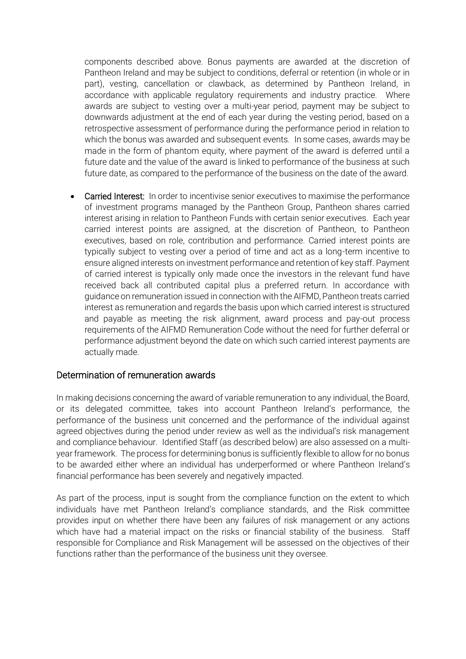components described above. Bonus payments are awarded at the discretion of Pantheon Ireland and may be subject to conditions, deferral or retention (in whole or in part), vesting, cancellation or clawback, as determined by Pantheon Ireland, in accordance with applicable regulatory requirements and industry practice. Where awards are subject to vesting over a multi-year period, payment may be subject to downwards adjustment at the end of each year during the vesting period, based on a retrospective assessment of performance during the performance period in relation to which the bonus was awarded and subsequent events. In some cases, awards may be made in the form of phantom equity, where payment of the award is deferred until a future date and the value of the award is linked to performance of the business at such future date, as compared to the performance of the business on the date of the award.

• Carried Interest: In order to incentivise senior executives to maximise the performance of investment programs managed by the Pantheon Group, Pantheon shares carried interest arising in relation to Pantheon Funds with certain senior executives. Each year carried interest points are assigned, at the discretion of Pantheon, to Pantheon executives, based on role, contribution and performance. Carried interest points are typically subject to vesting over a period of time and act as a long-term incentive to ensure aligned interests on investment performance and retention of key staff. Payment of carried interest is typically only made once the investors in the relevant fund have received back all contributed capital plus a preferred return. In accordance with guidance on remuneration issued in connection with the AIFMD, Pantheon treats carried interest as remuneration and regards the basis upon which carried interest is structured and payable as meeting the risk alignment, award process and pay-out process requirements of the AIFMD Remuneration Code without the need for further deferral or performance adjustment beyond the date on which such carried interest payments are actually made.

#### Determination of remuneration awards

In making decisions concerning the award of variable remuneration to any individual, the Board, or its delegated committee, takes into account Pantheon Ireland's performance, the performance of the business unit concerned and the performance of the individual against agreed objectives during the period under review as well as the individual's risk management and compliance behaviour. Identified Staff (as described below) are also assessed on a multiyear framework. The process for determining bonus is sufficiently flexible to allow for no bonus to be awarded either where an individual has underperformed or where Pantheon Ireland's financial performance has been severely and negatively impacted.

As part of the process, input is sought from the compliance function on the extent to which individuals have met Pantheon Ireland's compliance standards, and the Risk committee provides input on whether there have been any failures of risk management or any actions which have had a material impact on the risks or financial stability of the business. Staff responsible for Compliance and Risk Management will be assessed on the objectives of their functions rather than the performance of the business unit they oversee.